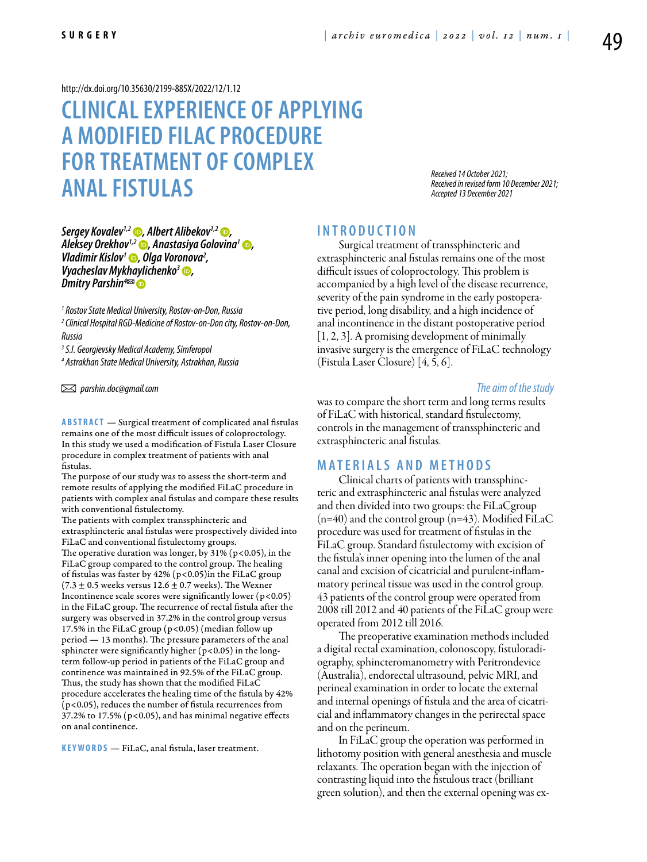<http://dx.doi.org/10.35630/2199-885X/2022/12/1.12>

# **Clinical experience of applying a modified FILaC procedure for treatment of complex anal fistulas**

*Received 14 October 2021; Received in revised form 10 December 2021; Accepted 13 December 2021*

*[Sergey Kovalev1](https://orcid.org/0000-0001-7697-3384),2 , [Albert Alibekov1](https://orcid.org/0000-0003-4724-3774),2 , [Аleksey Orekhov1](https://orcid.org/0000-0002-9508-5179),2 , [Anastasiya Golovina](https://orcid.org/0000-0001-5647-1192)1 , [Vladimir Kislov1](https://orcid.org/0000-0002-5967-9746) , Olga Voronova2 Vladimir Kislov<sup>1</sup> ●, Olga Voronova<sup>2</sup>, <br>Vyacheslav Mykhaylichenko<sup>3</sup> ●,<br>Dmitry Parshin<sup>4∞</sup> ●* 

*1 Rostov State Medical University, Rostov-on-Don, Russia 2 Clinical Hospital RGD-Medicine of Rostov-on-Don city, Rostov-on-Don, Russia*

*3 S.I. Georgievsky Medical Academy, Simferopol*

*4 Astrakhan State Medical University, Astrakhan, Russia*

 *parshin.doc@gmail.com*

**ABSTRACT** — Surgical treatment of complicated anal fistulas remains one of the most difficult issues of coloproctology. In this study we used a modification of Fistula Laser Closure procedure in complex treatment of patients with anal fistulas.

The purpose of our study was to assess the short-term and remote results of applying the modified FiLaC procedure in patients with complex anal fistulas and compare these results with conventional fistulectomy.

The patients with complex transsphincteric and extrasphincteric anal fistulas were prospectively divided into FiLaC and conventional fistulectomy groups. The operative duration was longer, by  $31\%$  (p<0.05), in the

FiLaC group compared to the control group. The healing of fistulas was faster by 42% (p<0.05)in the FiLaC group (7.3  $\pm$  0.5 weeks versus 12.6  $\pm$  0.7 weeks). The Wexner Incontinence scale scores were significantly lower ( $p < 0.05$ ) in the FiLaC group. The recurrence of rectal fistula after the surgery was observed in 37.2% in the control group versus 17.5% in the FiLaC group ( $p$ <0.05) (median follow up period — 13 months). The pressure parameters of the anal sphincter were significantly higher ( $p$ <0.05) in the longterm follow-up period in patients of the FiLaC group and continence was maintained in 92.5% of the FiLaC group. Thus, the study has shown that the modified FiLaC procedure accelerates the healing time of the fistula by 42% (p<0.05), reduces the number of fistula recurrences from 37.2% to 17.5% (p<0.05), and has minimal negative effects on anal continence.

KEYWORDS — FiLaC, anal fistula, laser treatment.

### **I n t r o d u ct i o n**

Surgical treatment of transsphincteric and extrasphincteric anal fistulas remains one of the most difficult issues of coloproctology. This problem is accompanied by a high level of the disease recurrence, severity of the pain syndrome in the early postoperative period, long disability, and a high incidence of anal incontinence in the distant postoperative period [1, 2, 3]. A promising development of minimally invasive surgery is the emergence of FiLaC technology (Fistula Laser Closure) [4, 5, 6].

*The aim of the study* 

was to compare the short term and long terms results of FiLaC with historical, standard fistulectomy, controls in the management of transsphincteric and extrasphincteric anal fistulas.

### **MATERIALS AND METHODS**

Clinical charts of patients with transsphincteric and extrasphincteric anal fistulas were analyzed and then divided into two groups: the FiLaCgroup  $(n=40)$  and the control group  $(n=43)$ . Modified FiLaC procedure was used for treatment of fistulas in the FiLaC group. Standard fistulectomy with excision of the fistula's inner opening into the lumen of the anal canal and excision of cicatricial and purulent-inflammatory perineal tissue was used in the control group. 43 patients of the control group were operated from 2008 till 2012 and 40 patients of the FiLaC group were operated from 2012 till 2016.

The preoperative examination methods included a digital rectal examination, colonoscopy, fistuloradiography, sphincteromanometry with Peritrondevice (Australia), endorectal ultrasound, pelvic MRI, and perineal examination in order to locate the external and internal openings of fistula and the area of cicatricial and inflammatory changes in the perirectal space and on the perineum.

In FiLaC group the operation was performed in lithotomy position with general anesthesia and muscle relaxants. The operation began with the injection of contrasting liquid into the fistulous tract (brilliant green solution), and then the external opening was ex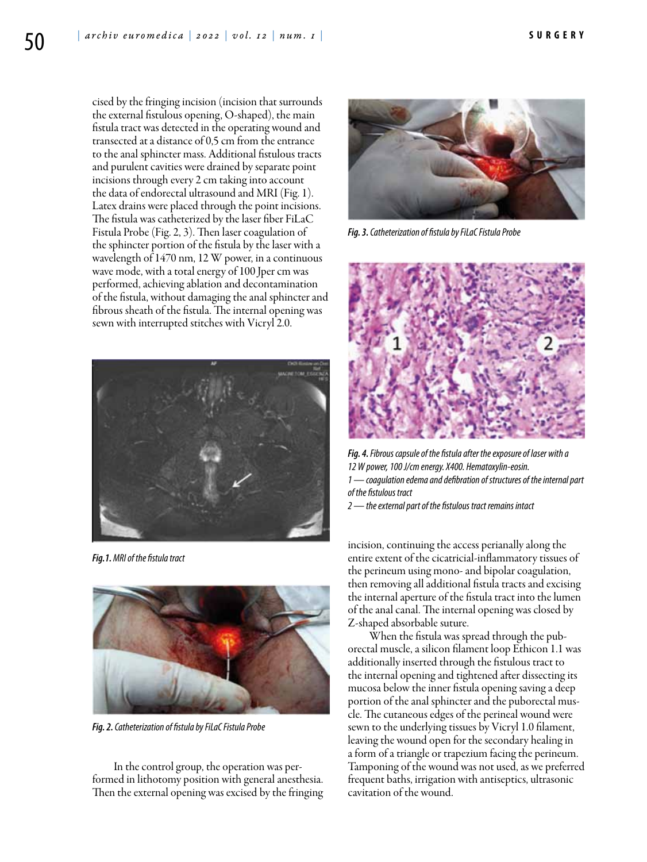cised by the fringing incision (incision that surrounds the external fistulous opening, O-shaped), the main fistula tract was detected in the operating wound and transected at a distance of 0,5 cm from the entrance to the anal sphincter mass. Additional fistulous tracts and purulent cavities were drained by separate point incisions through every 2 cm taking into account the data of endorectal ultrasound and MRI (Fig. 1). Latex drains were placed through the point incisions. The fistula was catheterized by the laser fiber FiLaC Fistula Probe (Fig. 2, 3). Then laser coagulation of the sphincter portion of the fistula by the laser with a wavelength of 1470 nm, 12 W power, in a continuous wave mode, with a total energy of 100 Jper cm was performed, achieving ablation and decontamination of the fistula, without damaging the anal sphincter and fibrous sheath of the fistula. The internal opening was sewn with interrupted stitches with Vicryl 2.0.



*Fig.1. MRI of the fistula tract*



*Fig. 2. Catheterization of fistula by FiLaC Fistula Probe*

In the control group, the operation was performed in lithotomy position with general anesthesia. Then the external opening was excised by the fringing



*Fig. 3. Catheterization of fistula by FiLaC Fistula Probe*



*Fig. 4. Fibrous capsule of the fistula after the exposure of laser with a 12W power, 100 J/cm energy. X400. Hematoxylin-eosin. 1 — coagulation edema and defibration of structures of the internal part of the fistulous tract*

*2 — the external part of the fistulous tract remains intact*

incision, continuing the access perianally along the entire extent of the cicatricial-inflammatory tissues of the perineum using mono- and bipolar coagulation, then removing all additional fistula tracts and excising the internal aperture of the fistula tract into the lumen of the anal canal. The internal opening was closed by Z-shaped absorbable suture.

When the fistula was spread through the puborectal muscle, a silicon filament loop Ethicon 1.1 was additionally inserted through the fistulous tract to the internal opening and tightened after dissecting its mucosa below the inner fistula opening saving a deep portion of the anal sphincter and the puborectal muscle. The cutaneous edges of the perineal wound were sewn to the underlying tissues by Vicryl 1.0 filament, leaving the wound open for the secondary healing in a form of a triangle or trapezium facing the perineum. Tamponing of the wound was not used, as we preferred frequent baths, irrigation with antiseptics, ultrasonic cavitation of the wound.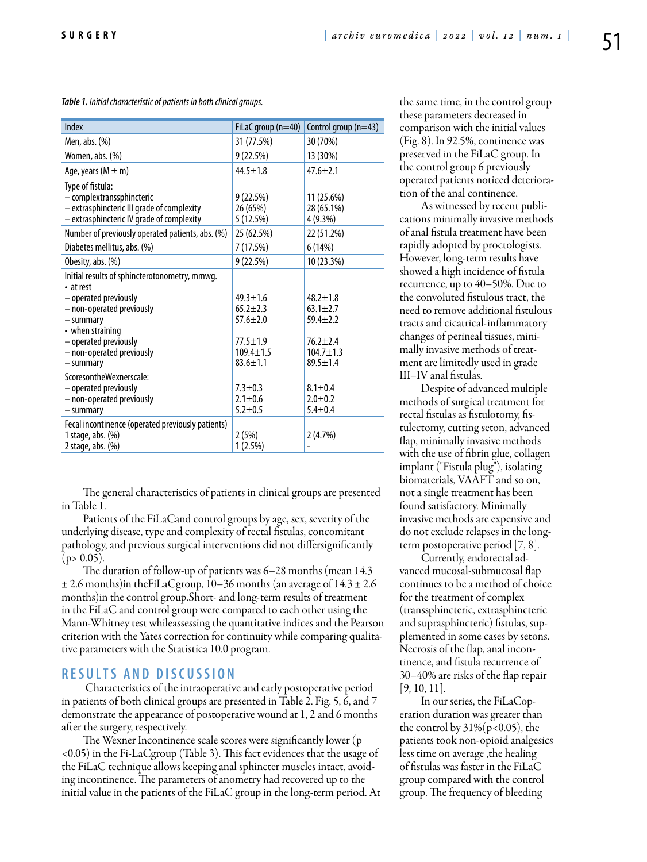*Table 1. Initial characteristic of patients in both clinical groups.*

| Index                                                                                                                                                                                                                | FiLaC group $(n=40)$                                                                                    | Control group (n=43)                                                                                    |
|----------------------------------------------------------------------------------------------------------------------------------------------------------------------------------------------------------------------|---------------------------------------------------------------------------------------------------------|---------------------------------------------------------------------------------------------------------|
| Men, abs. $(\%)$                                                                                                                                                                                                     | 31 (77.5%)                                                                                              | 30 (70%)                                                                                                |
| Women, abs. (%)                                                                                                                                                                                                      | 9(22.5%)                                                                                                | 13 (30%)                                                                                                |
| Age, years ( $M \pm m$ )                                                                                                                                                                                             | $44.5 \pm 1.8$                                                                                          | $47.6 \pm 2.1$                                                                                          |
| Type of fistula:<br>- complextranssphincteric<br>- extrasphincteric III grade of complexity<br>- extrasphincteric IV grade of complexity                                                                             | 9(22.5%)<br>26 (65%)<br>5 (12.5%)                                                                       | 11 (25.6%)<br>28 (65.1%)<br>4(9.3%)                                                                     |
| Number of previously operated patients, abs. (%)                                                                                                                                                                     | 25 (62.5%)                                                                                              | 22 (51.2%)                                                                                              |
| Diabetes mellitus, abs. (%)                                                                                                                                                                                          | 7 (17.5%)                                                                                               | 6(14%)                                                                                                  |
| Obesity, abs. (%)                                                                                                                                                                                                    | 9(22.5%)                                                                                                | 10 (23.3%)                                                                                              |
| Initial results of sphincterotonometry, mmwg.<br>• at rest<br>- operated previously<br>- non-operated previously<br>- summary<br>• when straining<br>- operated previously<br>- non-operated previously<br>- summary | $49.3 \pm 1.6$<br>$65.2 + 2.3$<br>$57.6 \pm 2.0$<br>$77.5 \pm 1.9$<br>$109.4 \pm 1.5$<br>$83.6 \pm 1.1$ | $48.2 \pm 1.8$<br>$63.1 \pm 2.7$<br>$59.4 \pm 2.2$<br>$76.2 + 2.4$<br>$104.7 \pm 1.3$<br>$89.5 \pm 1.4$ |
| ScoresontheWexnerscale:<br>- operated previously<br>- non-operated previously<br>- summary<br>Fecal incontinence (operated previously patients)                                                                      | $7.3 \pm 0.3$<br>$2.1 \pm 0.6$<br>$5.2 + 0.5$                                                           | $8.1 \pm 0.4$<br>$2.0 + 0.2$<br>$5.4 \pm 0.4$                                                           |
| 1 stage, abs. $(\%)$<br>2 stage, abs. (%)                                                                                                                                                                            | 2(5%)<br>1(2.5%)                                                                                        | 2(4.7%)                                                                                                 |

The general characteristics of patients in clinical groups are presented in Table 1.

Patients of the FiLaCand control groups by age, sex, severity of the underlying disease, type and complexity of rectal fistulas, concomitant pathology, and previous surgical interventions did not differsignificantly  $(p > 0.05)$ .

The duration of follow-up of patients was 6–28 months (mean 14.3  $\pm$  2.6 months)in theFiLaCgroup, 10–36 months (an average of 14.3  $\pm$  2.6 months)in the control group.Short- and long-term results of treatment in the FiLaC and control group were compared to each other using the Mann-Whitney test whileassessing the quantitative indices and the Pearson criterion with the Yates correction for continuity while comparing qualitative parameters with the Statistica 10.0 program.

### **RESULTS AND DISCUSSION**

 Characteristics of the intraoperative and early postoperative period in patients of both clinical groups are presented in Table 2. Fig. 5, 6, and 7 demonstrate the appearance of postoperative wound at 1, 2 and 6 months after the surgery, respectively.

The Wexner Incontinence scale scores were significantly lower (p <0.05) in the Fi-LaCgroup (Table 3). This fact evidences that the usage of the FiLaC technique allows keeping anal sphincter muscles intact, avoiding incontinence. The parameters of anometry had recovered up to the initial value in the patients of the FiLaC group in the long-term period. At the same time, in the control group these parameters decreased in comparison with the initial values (Fig. 8). In 92.5%, continence was preserved in the FiLaC group. In the control group 6 previously operated patients noticed deterioration of the anal continence.

As witnessed by recent publications minimally invasive methods of anal fistula treatment have been rapidly adopted by proctologists. However, long-term results have showed a high incidence of fistula recurrence, up to 40–50%. Due to the convoluted fistulous tract, the need to remove additional fistulous tracts and cicatrical-inflammatory changes of perineal tissues, minimally invasive methods of treatment are limitedly used in grade III–IV anal fistulas.

Despite of advanced multiple methods of surgical treatment for rectal fistulas as fistulotomy, fistulectomy, cutting seton, advanced flap, minimally invasive methods with the use of fibrin glue, collagen implant ("Fistula plug"), isolating biomaterials, VAAFT and so on, not a single treatment has been found satisfactory. Minimally invasive methods are expensive and do not exclude relapses in the longterm postoperative period [7, 8].

Currently, endorectal advanced mucosal-submucosal flap continues to be a method of choice for the treatment of complex (transsphincteric, extrasphincteric and suprasphincteric) fistulas, supplemented in some cases by setons. Necrosis of the flap, anal incontinence, and fistula recurrence of 30–40% are risks of the flap repair [9, 10, 11].

In our series, the FiLaCoperation duration was greater than the control by  $31\%$  (p<0.05), the patients took non-opioid analgesics less time on average ,the healing of fistulas was faster in the FiLaC group compared with the control group. The frequency of bleeding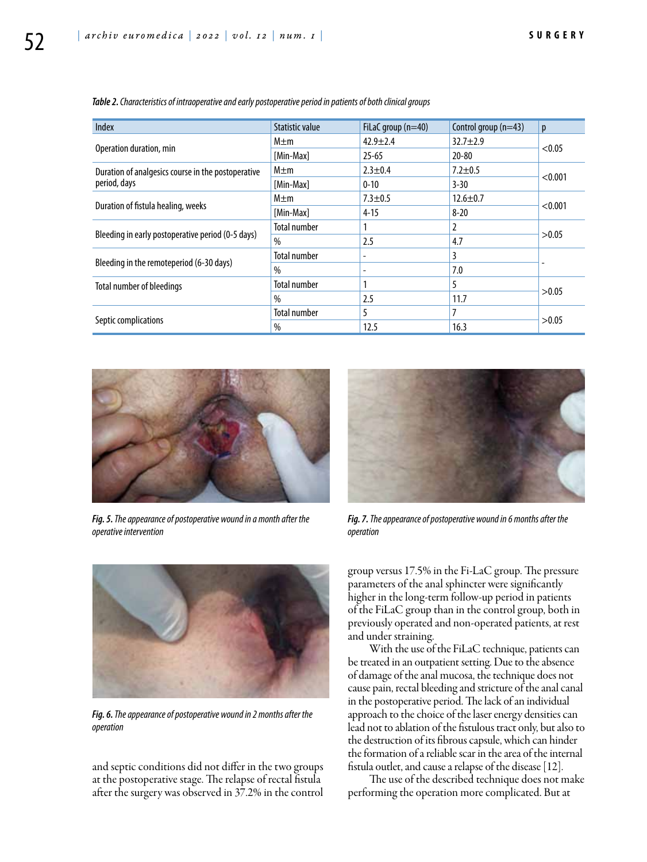| <b>Index</b>                                                       | Statistic value     | FiLaC group $(n=40)$ | Control group $(n=43)$ | p       |
|--------------------------------------------------------------------|---------------------|----------------------|------------------------|---------|
| Operation duration, min                                            | $M \pm m$           | $42.9 \pm 2.4$       | $32.7 \pm 2.9$         | < 0.05  |
|                                                                    | [Min-Max]           | $25 - 65$            | $20 - 80$              |         |
| Duration of analgesics course in the postoperative<br>period, days | M±m                 | $2.3 \pm 0.4$        | $7.2 \pm 0.5$          | < 0.001 |
|                                                                    | [Min-Max]           | $0 - 10$             | $3 - 30$               |         |
| Duration of fistula healing, weeks                                 | $M \pm m$           | $7.3 + 0.5$          | $12.6 \pm 0.7$         | < 0.001 |
|                                                                    | [Min-Max]           | $4 - 15$             | $8 - 20$               |         |
| Bleeding in early postoperative period (0-5 days)                  | <b>Total number</b> |                      | 2                      | >0.05   |
|                                                                    | $\%$                | 2.5                  | 4.7                    |         |
| Bleeding in the remoteperiod (6-30 days)                           | <b>Total number</b> | ۰                    | 3                      |         |
|                                                                    | $\%$                |                      | 7.0                    |         |
| Total number of bleedings                                          | Total number        |                      | 5                      | >0.05   |
|                                                                    | $\%$                | 2.5                  | 11.7                   |         |
| Septic complications                                               | Total number        | 5                    | 7                      | >0.05   |
|                                                                    | %                   | 12.5                 | 16.3                   |         |

*Table 2. Characteristics of intraoperative and early postoperative period in patients of both clinical groups*



*Fig. 5. The appearance of postoperative wound in a month after the operative intervention*



*Fig. 7. The appearance of postoperative wound in 6 months after the operation*



*Fig. 6. The appearance of postoperative wound in 2 months after the operation*

and septic conditions did not differ in the two groups at the postoperative stage. The relapse of rectal fistula after the surgery was observed in 37.2% in the control

group versus 17.5% in the Fi-LaC group. The pressure parameters of the anal sphincter were significantly higher in the long-term follow-up period in patients of the FiLaC group than in the control group, both in previously operated and non-operated patients, at rest and under straining.

With the use of the FiLaC technique, patients can be treated in an outpatient setting. Due to the absence of damage of the anal mucosa, the technique does not cause pain, rectal bleeding and stricture of the anal canal in the postoperative period. The lack of an individual approach to the choice of the laser energy densities can lead not to ablation of the fistulous tract only, but also to the destruction of its fibrous capsule, which can hinder the formation of a reliable scar in the area of the internal fistula outlet, and cause a relapse of the disease [12].

The use of the described technique does not make performing the operation more complicated. But at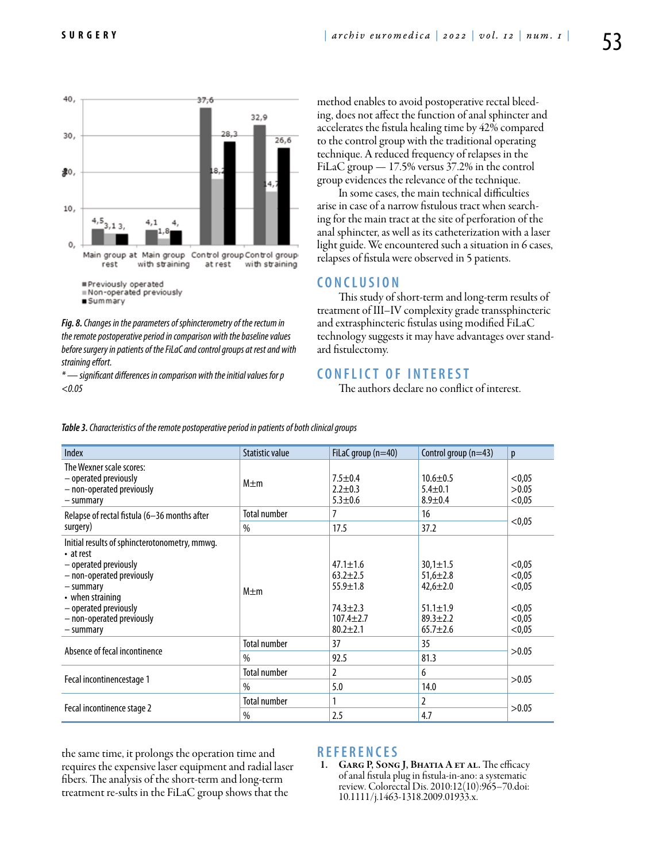

*Fig. 8. Changes in the parameters of sphincterometry of the rectum in the remote postoperative period in comparison with the baseline values before surgery in patients of the FiLaC and control groups at rest and with straining effort.*

*\* — significant differences in comparison with the initial values for p <0.05*

method enables to avoid postoperative rectal bleeding, does not affect the function of anal sphincter and accelerates the fistula healing time by 42% compared to the control group with the traditional operating technique. A reduced frequency of relapses in the FiLaC group — 17.5% versus 37.2% in the control group evidences the relevance of the technique.

In some cases, the main technical difficulties arise in case of a narrow fistulous tract when searching for the main tract at the site of perforation of the anal sphincter, as well as its catheterization with a laser light guide. We encountered such a situation in 6 cases, relapses of fistula were observed in 5 patients.

### **C o n cl u s i o n**

This study of short-term and long-term results of treatment of III–IV complexity grade transsphincteric and extrasphincteric fistulas using modified FiLaC technology suggests it may have advantages over standard fistulectomy.

## **C ONFLICT OF INTEREST**

The authors declare no conflict of interest.

| <b>Index</b>                                                                                                                                                                                                               | <b>Statistic value</b> | FiLaC group $(n=40)$                                                                                  | Control group (n=43)                                                                                   | p                                                        |
|----------------------------------------------------------------------------------------------------------------------------------------------------------------------------------------------------------------------------|------------------------|-------------------------------------------------------------------------------------------------------|--------------------------------------------------------------------------------------------------------|----------------------------------------------------------|
| The Wexner scale scores:<br>- operated previously<br>- non-operated previously<br>- summary                                                                                                                                | $M \pm m$              | $7.5 \pm 0.4$<br>$2.2 \pm 0.3$<br>$5.3 + 0.6$                                                         | $10.6 + 0.5$<br>$5.4 \pm 0.1$<br>$8.9 \pm 0.4$                                                         | < 0.05<br>>0.05<br>< 0.05                                |
| Relapse of rectal fistula (6-36 months after<br>surgery)                                                                                                                                                                   | <b>Total number</b>    | 7                                                                                                     | 16                                                                                                     | < 0.05                                                   |
|                                                                                                                                                                                                                            | $\%$                   | 17.5                                                                                                  | 37.2                                                                                                   |                                                          |
| Initial results of sphincterotonometry, mmwg.<br>• at rest<br>- operated previously<br>- non-operated previously<br>- summary<br>$\cdot$ when straining<br>- operated previously<br>- non-operated previously<br>– summary | $M \pm m$              | $47.1 \pm 1.6$<br>$63.2 + 2.5$<br>$55.9 \pm 1.8$<br>$74.3 \pm 2.3$<br>$107.4 + 2.7$<br>$80.2 \pm 2.1$ | $30,1 \pm 1.5$<br>$51,6 \pm 2.8$<br>$42,6 \pm 2.0$<br>$51.1 \pm 1.9$<br>$89.3 + 2.2$<br>$65.7 \pm 2.6$ | < 0.05<br>< 0.05<br>< 0.05<br>< 0.05<br>< 0.05<br>< 0.05 |
| Absence of fecal incontinence                                                                                                                                                                                              | <b>Total number</b>    | 37                                                                                                    | 35                                                                                                     | >0.05                                                    |
|                                                                                                                                                                                                                            | $\%$                   | 92.5                                                                                                  | 81.3                                                                                                   |                                                          |
| Fecal incontinencestage 1                                                                                                                                                                                                  | <b>Total number</b>    | $\overline{2}$                                                                                        | 6                                                                                                      | >0.05                                                    |
|                                                                                                                                                                                                                            | $\%$                   | 5.0                                                                                                   | 14.0                                                                                                   |                                                          |
| Fecal incontinence stage 2                                                                                                                                                                                                 | <b>Total number</b>    | 1                                                                                                     | 2                                                                                                      | >0.05                                                    |
|                                                                                                                                                                                                                            | $\%$                   | 2.5                                                                                                   | 4.7                                                                                                    |                                                          |

*Table 3. Characteristics of the remote postoperative period in patients of both clinical groups*

the same time, it prolongs the operation time and requires the expensive laser equipment and radial laser fibers. The analysis of the short-term and long-term treatment re-sults in the FiLaC group shows that the

#### **R e f e r e n ce s**

GARG P, SONG J, BHATIA A ET AL. The efficacy of anal fistula plug in fistula-in-ano: a systematic review. Colorectal Dis. 2010:12(10):965–70.doi: 10.1111/j.1463-1318.2009.01933.x.